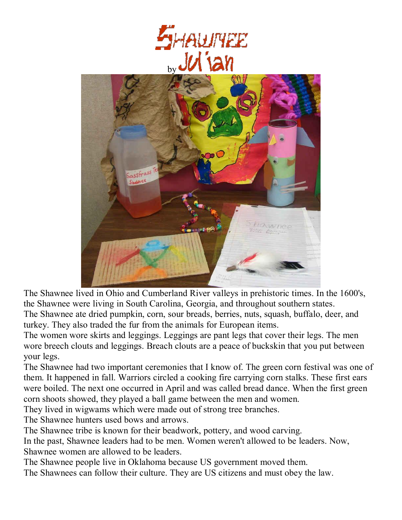



The Shawnee lived in Ohio and Cumberland River valleys in prehistoric times. In the 1600's, the Shawnee were living in South Carolina, Georgia, and throughout southern states. The Shawnee ate dried pumpkin, corn, sour breads, berries, nuts, squash, buffalo, deer, and turkey. They also traded the fur from the animals for European items.

The women wore skirts and leggings. Leggings are pant legs that cover their legs. The men wore breech clouts and leggings. Breach clouts are a peace of buckskin that you put between your legs.

The Shawnee had two important ceremonies that I know of. The green corn festival was one of them. It happened in fall. Warriors circled a cooking fire carrying corn stalks. These first ears were boiled. The next one occurred in April and was called bread dance. When the first green corn shoots showed, they played a ball game between the men and women.

They lived in wigwams which were made out of strong tree branches.

The Shawnee hunters used bows and arrows.

The Shawnee tribe is known for their beadwork, pottery, and wood carving.

In the past, Shawnee leaders had to be men. Women weren't allowed to be leaders. Now, Shawnee women are allowed to be leaders.

The Shawnee people live in Oklahoma because US government moved them.

The Shawnees can follow their culture. They are US citizens and must obey the law.